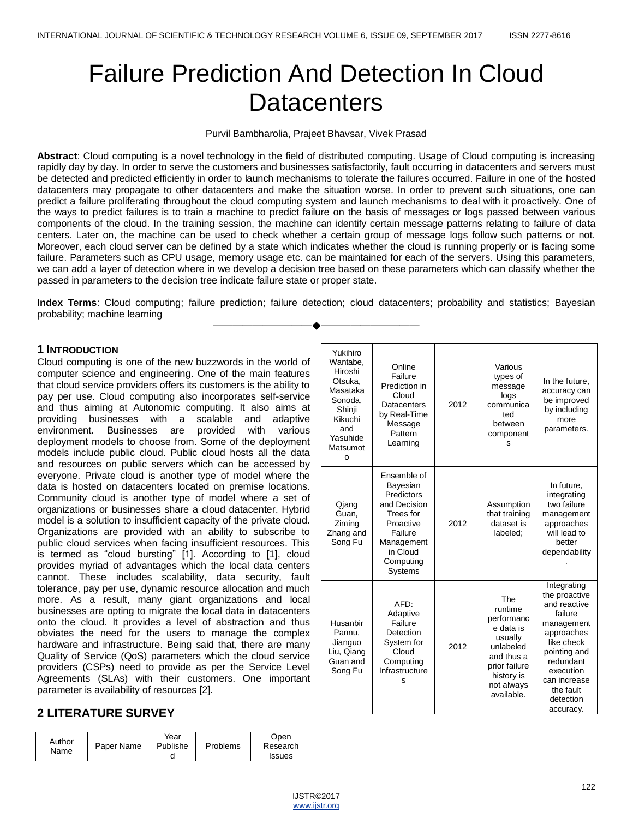# Failure Prediction And Detection In Cloud **Datacenters**

## Purvil Bambharolia, Prajeet Bhavsar, Vivek Prasad

**Abstract**: Cloud computing is a novel technology in the field of distributed computing. Usage of Cloud computing is increasing rapidly day by day. In order to serve the customers and businesses satisfactorily, fault occurring in datacenters and servers must be detected and predicted efficiently in order to launch mechanisms to tolerate the failures occurred. Failure in one of the hosted datacenters may propagate to other datacenters and make the situation worse. In order to prevent such situations, one can predict a failure proliferating throughout the cloud computing system and launch mechanisms to deal with it proactively. One of the ways to predict failures is to train a machine to predict failure on the basis of messages or logs passed between various components of the cloud. In the training session, the machine can identify certain message patterns relating to failure of data centers. Later on, the machine can be used to check whether a certain group of message logs follow such patterns or not. Moreover, each cloud server can be defined by a state which indicates whether the cloud is running properly or is facing some failure. Parameters such as CPU usage, memory usage etc. can be maintained for each of the servers. Using this parameters, we can add a layer of detection where in we develop a decision tree based on these parameters which can classify whether the passed in parameters to the decision tree indicate failure state or proper state.

**Index Terms**: Cloud computing; failure prediction; failure detection; cloud datacenters; probability and statistics; Bayesian probability; machine learning ————————————————————

# **1 INTRODUCTION**

Cloud computing is one of the new buzzwords in the world of computer science and engineering. One of the main features that cloud service providers offers its customers is the ability to pay per use. Cloud computing also incorporates self-service and thus aiming at Autonomic computing. It also aims at providing businesses with a scalable and adaptive environment. Businesses are provided with various deployment models to choose from. Some of the deployment models include public cloud. Public cloud hosts all the data and resources on public servers which can be accessed by everyone. Private cloud is another type of model where the data is hosted on datacenters located on premise locations. Community cloud is another type of model where a set of organizations or businesses share a cloud datacenter. Hybrid model is a solution to insufficient capacity of the private cloud. Organizations are provided with an ability to subscribe to public cloud services when facing insufficient resources. This is termed as "cloud bursting" [1]. According to [1], cloud provides myriad of advantages which the local data centers cannot. These includes scalability, data security, fault tolerance, pay per use, dynamic resource allocation and much more. As a result, many giant organizations and local businesses are opting to migrate the local data in datacenters onto the cloud. It provides a level of abstraction and thus obviates the need for the users to manage the complex hardware and infrastructure. Being said that, there are many Quality of Service (QoS) parameters which the cloud service providers (CSPs) need to provide as per the Service Level Agreements (SLAs) with their customers. One important parameter is availability of resources [2].

# **2 LITERATURE SURVEY**

| Author<br>Name | Paper Name | Year<br>Publishe | Problems | Open<br>Research |
|----------------|------------|------------------|----------|------------------|
|                |            |                  |          | <b>Issues</b>    |

| Yukihiro<br>Wantabe,<br>Hiroshi<br>Otsuka.<br>Masataka<br>Sonoda.<br>Shinji<br>Kikuchi<br>and<br>Yasuhide<br>Matsumot<br>O | Online<br>Failure<br>Prediction in<br>Cloud<br>Datacenters<br>by Real-Time<br>Message<br>Pattern<br>Learning                                 | 2012 | Various<br>types of<br>message<br>logs<br>communica<br>ted<br>between<br>component<br>S                                                    | In the future,<br>accuracy can<br>be improved<br>by including<br>more<br>parameters.                                                                                                               |
|----------------------------------------------------------------------------------------------------------------------------|----------------------------------------------------------------------------------------------------------------------------------------------|------|--------------------------------------------------------------------------------------------------------------------------------------------|----------------------------------------------------------------------------------------------------------------------------------------------------------------------------------------------------|
| Qjang<br>Guan,<br>Ziming<br>Zhang and<br>Song Fu                                                                           | Ensemble of<br>Bayesian<br>Predictors<br>and Decision<br>Trees for<br>Proactive<br>Failure<br>Management<br>in Cloud<br>Computing<br>Systems | 2012 | Assumption<br>that training<br>dataset is<br>labeled:                                                                                      | In future.<br>integrating<br>two failure<br>management<br>approaches<br>will lead to<br>better<br>dependability                                                                                    |
| Husanbir<br>Pannu,<br>Jianguo<br>Liu, Qiang<br>Guan and<br>Song Fu                                                         | AFD:<br>Adaptive<br>Failure<br>Detection<br>System for<br>Cloud<br>Computing<br>Infrastructure<br>s                                          | 2012 | The<br>runtime<br>performanc<br>e data is<br>usually<br>unlabeled<br>and thus a<br>prior failure<br>history is<br>not always<br>available. | Integrating<br>the proactive<br>and reactive<br>failure<br>management<br>approaches<br>like check<br>pointing and<br>redundant<br>execution<br>can increase<br>the fault<br>detection<br>accuracy. |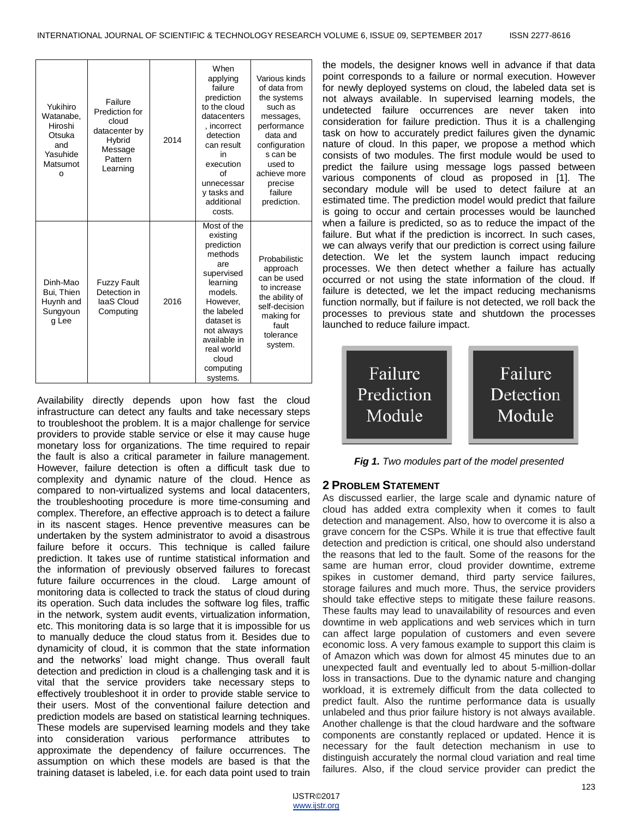| Yukihiro<br>Watanabe.<br>Hiroshi<br>Otsuka<br>and<br>Yasuhide<br>Matsumot<br>O | Failure<br>Prediction for<br>cloud<br>datacenter by<br>Hybrid<br>Message<br>Pattern<br>Learning | 2014 | When<br>applying<br>failure<br>prediction<br>to the cloud<br>datacenters<br>, incorrect<br>detection<br>can result<br>in<br>execution<br>of<br>unnecessar<br>v tasks and<br>additional<br>costs.                    | Various kinds<br>of data from<br>the systems<br>such as<br>messages,<br>performance<br>data and<br>configuration<br>s can be<br>used to<br>achieve more<br>precise<br>failure<br>prediction. |
|--------------------------------------------------------------------------------|-------------------------------------------------------------------------------------------------|------|---------------------------------------------------------------------------------------------------------------------------------------------------------------------------------------------------------------------|----------------------------------------------------------------------------------------------------------------------------------------------------------------------------------------------|
| Dinh-Mao<br>Bui, Thien<br>Huynh and<br>Sungyoun<br>g Lee                       | <b>Fuzzy Fault</b><br>Detection in<br>laaS Cloud<br>Computing                                   | 2016 | Most of the<br>existing<br>prediction<br>methods<br>are<br>supervised<br>learning<br>models.<br>However.<br>the labeled<br>dataset is<br>not always<br>available in<br>real world<br>cloud<br>computing<br>systems. | Probabilistic<br>approach<br>can be used<br>to increase<br>the ability of<br>self-decision<br>making for<br>fault<br>tolerance<br>system.                                                    |

Availability directly depends upon how fast the cloud infrastructure can detect any faults and take necessary steps to troubleshoot the problem. It is a major challenge for service providers to provide stable service or else it may cause huge monetary loss for organizations. The time required to repair the fault is also a critical parameter in failure management. However, failure detection is often a difficult task due to complexity and dynamic nature of the cloud. Hence as compared to non-virtualized systems and local datacenters, the troubleshooting procedure is more time-consuming and complex. Therefore, an effective approach is to detect a failure in its nascent stages. Hence preventive measures can be undertaken by the system administrator to avoid a disastrous failure before it occurs. This technique is called failure prediction. It takes use of runtime statistical information and the information of previously observed failures to forecast future failure occurrences in the cloud. Large amount of monitoring data is collected to track the status of cloud during its operation. Such data includes the software log files, traffic in the network, system audit events, virtualization information, etc. This monitoring data is so large that it is impossible for us to manually deduce the cloud status from it. Besides due to dynamicity of cloud, it is common that the state information and the networks' load might change. Thus overall fault detection and prediction in cloud is a challenging task and it is vital that the service providers take necessary steps to effectively troubleshoot it in order to provide stable service to their users. Most of the conventional failure detection and prediction models are based on statistical learning techniques. These models are supervised learning models and they take into consideration various performance attributes to approximate the dependency of failure occurrences. The assumption on which these models are based is that the training dataset is labeled, i.e. for each data point used to train

the models, the designer knows well in advance if that data point corresponds to a failure or normal execution. However for newly deployed systems on cloud, the labeled data set is not always available. In supervised learning models, the undetected failure occurrences are never taken into consideration for failure prediction. Thus it is a challenging task on how to accurately predict failures given the dynamic nature of cloud. In this paper, we propose a method which consists of two modules. The first module would be used to predict the failure using message logs passed between various components of cloud as proposed in [1]. The secondary module will be used to detect failure at an estimated time. The prediction model would predict that failure is going to occur and certain processes would be launched when a failure is predicted, so as to reduce the impact of the failure. But what if the prediction is incorrect. In such cases, we can always verify that our prediction is correct using failure detection. We let the system launch impact reducing processes. We then detect whether a failure has actually occurred or not using the state information of the cloud. If failure is detected, we let the impact reducing mechanisms function normally, but if failure is not detected, we roll back the processes to previous state and shutdown the processes launched to reduce failure impact.



*Fig 1. Two modules part of the model presented*

# **2 PROBLEM STATEMENT**

As discussed earlier, the large scale and dynamic nature of cloud has added extra complexity when it comes to fault detection and management. Also, how to overcome it is also a grave concern for the CSPs. While it is true that effective fault detection and prediction is critical, one should also understand the reasons that led to the fault. Some of the reasons for the same are human error, cloud provider downtime, extreme spikes in customer demand, third party service failures, storage failures and much more. Thus, the service providers should take effective steps to mitigate these failure reasons. These faults may lead to unavailability of resources and even downtime in web applications and web services which in turn can affect large population of customers and even severe economic loss. A very famous example to support this claim is of Amazon which was down for almost 45 minutes due to an unexpected fault and eventually led to about 5-million-dollar loss in transactions. Due to the dynamic nature and changing workload, it is extremely difficult from the data collected to predict fault. Also the runtime performance data is usually unlabeled and thus prior failure history is not always available. Another challenge is that the cloud hardware and the software components are constantly replaced or updated. Hence it is necessary for the fault detection mechanism in use to distinguish accurately the normal cloud variation and real time failures. Also, if the cloud service provider can predict the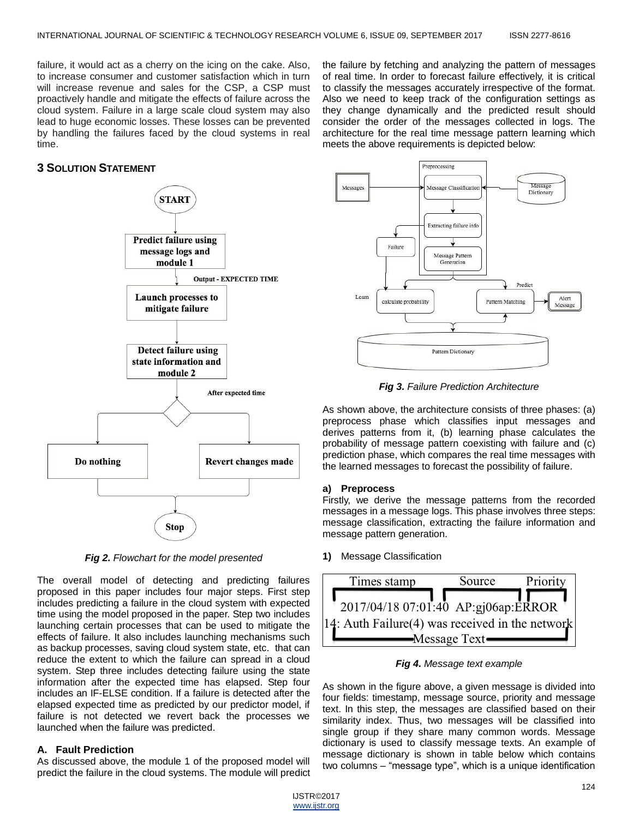failure, it would act as a cherry on the icing on the cake. Also, to increase consumer and customer satisfaction which in turn will increase revenue and sales for the CSP, a CSP must proactively handle and mitigate the effects of failure across the cloud system. Failure in a large scale cloud system may also lead to huge economic losses. These losses can be prevented by handling the failures faced by the cloud systems in real time.

# **3 SOLUTION STATEMENT**



*Fig 2. Flowchart for the model presented*

The overall model of detecting and predicting failures proposed in this paper includes four major steps. First step includes predicting a failure in the cloud system with expected time using the model proposed in the paper. Step two includes launching certain processes that can be used to mitigate the effects of failure. It also includes launching mechanisms such as backup processes, saving cloud system state, etc. that can reduce the extent to which the failure can spread in a cloud system. Step three includes detecting failure using the state information after the expected time has elapsed. Step four includes an IF-ELSE condition. If a failure is detected after the elapsed expected time as predicted by our predictor model, if failure is not detected we revert back the processes we launched when the failure was predicted.

# **A. Fault Prediction**

As discussed above, the module 1 of the proposed model will predict the failure in the cloud systems. The module will predict architecture for the real time message pattern learning which meets the above requirements is depicted below: Preprocessing Message Messages **Aessage Classification** Dictionary Extracting failure info Failure Message Pattern Predict Learn Alert calculate probability Pattern Matching Message

the failure by fetching and analyzing the pattern of messages of real time. In order to forecast failure effectively, it is critical to classify the messages accurately irrespective of the format. Also we need to keep track of the configuration settings as they change dynamically and the predicted result should consider the order of the messages collected in logs. The

*Fig 3. Failure Prediction Architecture*

Pattern Dictionary

As shown above, the architecture consists of three phases: (a) preprocess phase which classifies input messages and derives patterns from it, (b) learning phase calculates the probability of message pattern coexisting with failure and (c) prediction phase, which compares the real time messages with the learned messages to forecast the possibility of failure.

## **a) Preprocess**

Firstly, we derive the message patterns from the recorded messages in a message logs. This phase involves three steps: message classification, extracting the failure information and message pattern generation.

**1)** Message Classification



*Fig 4. Message text example*

As shown in the figure above, a given message is divided into four fields: timestamp, message source, priority and message text. In this step, the messages are classified based on their similarity index. Thus, two messages will be classified into single group if they share many common words. Message dictionary is used to classify message texts. An example of message dictionary is shown in table below which contains two columns – "message type", which is a unique identification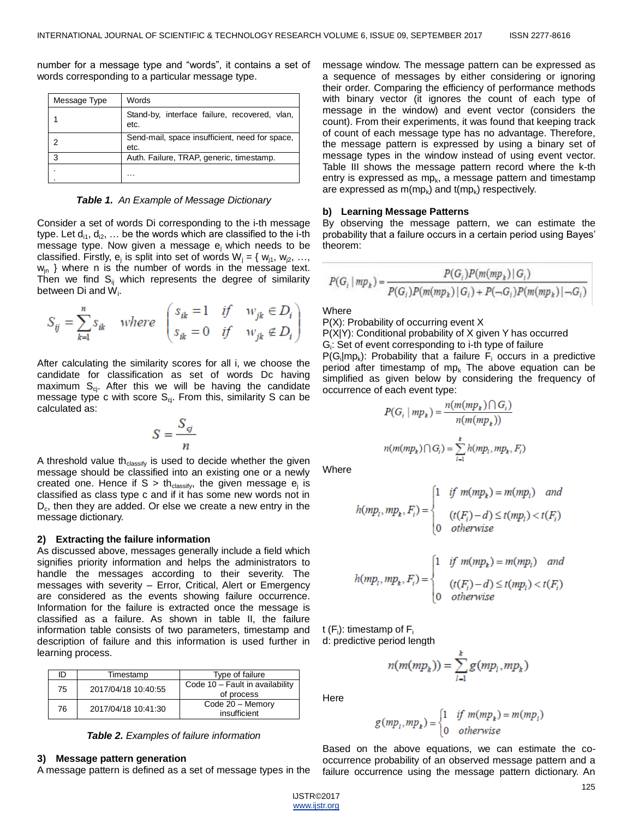| Message Type | Words                                                  |
|--------------|--------------------------------------------------------|
|              | Stand-by, interface failure, recovered, vlan,<br>etc.  |
|              | Send-mail, space insufficient, need for space,<br>etc. |
| 3            | Auth. Failure, TRAP, generic, timestamp.               |
|              |                                                        |

number for a message type and "words", it contains a set of words corresponding to a particular message type.

*Table 1. An Example of Message Dictionary*

Consider a set of words Di corresponding to the i-th message type. Let  $d_{i1}$ ,  $d_{i2}$ , ... be the words which are classified to the i-th message type. Now given a message ej which needs to be classified. Firstly,  $e_j$  is split into set of words  $W_j = \{ w_{j1}, w_{j2}, ...,$  $w_{in}$  } where n is the number of words in the message text. Then we find  $S_{ii}$  which represents the degree of similarity between Di and W<sub>i</sub>.

$$
S_{ij} = \sum_{k=1}^{n} s_{ik} \quad \text{where} \quad\n \begin{pmatrix}\n s_{ik} = 1 & \text{if} \quad w_{jk} \in D_i \\
s_{ik} = 0 & \text{if} \quad w_{jk} \notin D_i\n \end{pmatrix}
$$

After calculating the similarity scores for all i, we choose the candidate for classification as set of words Dc having maximum  $S_{ci}$ . After this we will be having the candidate message type c with score  $S_{ci}$ . From this, similarity S can be calculated as:

$$
S = \frac{S_{\mathfrak{G}}}{n}
$$

A threshold value th $_{\text{classify}}$  is used to decide whether the given message should be classified into an existing one or a newly created one. Hence if S > th<sub>classify</sub>, the given message  $e_j$  is classified as class type c and if it has some new words not in  $D_c$ , then they are added. Or else we create a new entry in the message dictionary.

#### **2) Extracting the failure information**

As discussed above, messages generally include a field which signifies priority information and helps the administrators to handle the messages according to their severity. The messages with severity – Error, Critical, Alert or Emergency are considered as the events showing failure occurrence. Information for the failure is extracted once the message is classified as a failure. As shown in table II, the failure information table consists of two parameters, timestamp and description of failure and this information is used further in learning process.

| ID | Timestamp           | Type of failure                               |
|----|---------------------|-----------------------------------------------|
| 75 | 2017/04/18 10:40:55 | Code 10 - Fault in availability<br>of process |
| 76 | 2017/04/18 10:41:30 | Code 20 - Memory<br>insufficient              |

*Table 2. Examples of failure information*

#### **3) Message pattern generation**

A message pattern is defined as a set of message types in the

message window. The message pattern can be expressed as a sequence of messages by either considering or ignoring their order. Comparing the efficiency of performance methods with binary vector (it ignores the count of each type of message in the window) and event vector (considers the count). From their experiments, it was found that keeping track of count of each message type has no advantage. Therefore, the message pattern is expressed by using a binary set of message types in the window instead of using event vector. Table III shows the message pattern record where the k-th entry is expressed as mp $_k$ , a message pattern and timestamp are expressed as m(mp $_{\rm k}$ ) and t(mp $_{\rm k}$ ) respectively.

#### **b) Learning Message Patterns**

By observing the message pattern, we can estimate the probability that a failure occurs in a certain period using Bayes' theorem:

$$
P(G_i | mp_k) = \frac{P(G_i)P(m(mp_k) | G_i)}{P(G_i)P(m(np_k) | G_i) + P(\neg G_i)P(m(np_k) | \neg G_i)}
$$

**Where** 

P(X): Probability of occurring event X

P(X|Y): Conditional probability of X given Y has occurred G<sub>i</sub>: Set of event corresponding to i-th type of failure

 $P(G_i | mp_k)$ : Probability that a failure  $F_i$  occurs in a predictive period after timestamp of mp<sub>k</sub> The above equation can be simplified as given below by considering the frequency of occurrence of each event type:

$$
P(G_i | mp_k) = \frac{n(m(np_k) \cap G_i)}{n(m(np_k))}
$$
  

$$
n(m(np_k) \cap G_i) = \sum_{i=1}^{k} h(mp_i, mp_k, F_i)
$$

**Where** 

$$
h(mp_i, mp_k, F_i) = \begin{cases} 1 & \text{if } m(mp_k) = m(mp_i) & \text{and} \\ & (t(F_i) - d) \le t(mp_i) < t(F_i) \\ 0 & \text{otherwise} \end{cases}
$$

$$
h(mp_i, mp_k, F_i) = \begin{cases} 1 & \text{if } m(mp_k) = m(mp_i) & \text{and} \\ & (t(F_i) - d) \le t(mp_i) < t(F_i) \\ 0 & \text{otherwise} \end{cases}
$$

t (F<sub>i</sub>): timestamp of F<sub>i</sub> d: predictive period length

I

$$
n(m(mp_k)) = \sum_{i=1}^k g(mp_i, mp_k)
$$

**Here** 

$$
g(mp_1, mp_k) = \begin{cases} 1 & \text{if } m(mp_k) = m(mp_1) \\ 0 & \text{otherwise} \end{cases}
$$

Based on the above equations, we can estimate the cooccurrence probability of an observed message pattern and a failure occurrence using the message pattern dictionary. An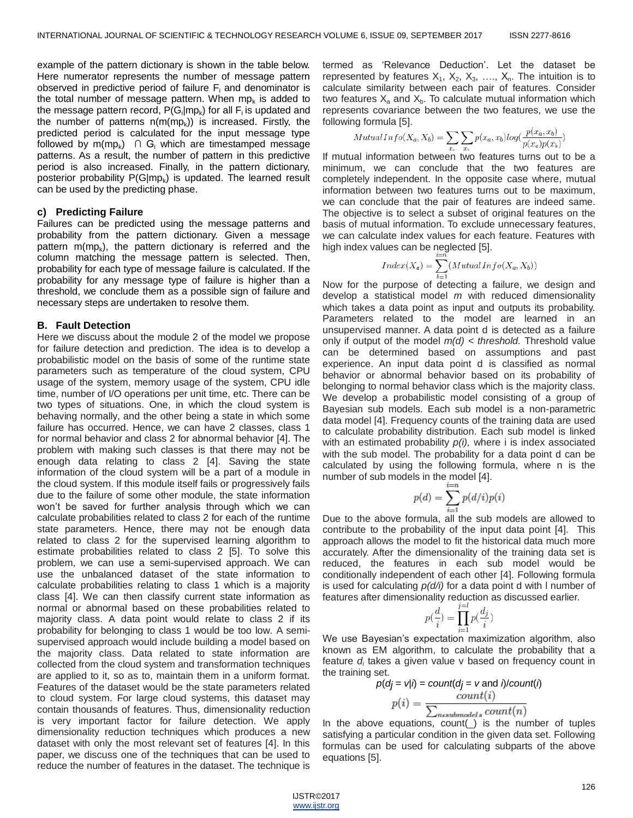example of the pattern dictionary is shown in the table below. Here numerator represents the number of message pattern observed in predictive period of failure  $F_i$  and denominator is the total number of message pattern. When mp $_k$  is added to the message pattern record,  $P(G_i | mp_k)$  for all  $F_i$  is updated and the number of patterns  $n(m(mp_k))$  is increased. Firstly, the predicted period is calculated for the input message type followed by  $m(mp_k)$  ∩ G<sub>i</sub> which are timestamped message patterns. As a result, the number of pattern in this predictive period is also increased. Finally, in the pattern dictionary, posterior probability P(G|mp<sub>k</sub>) is updated. The learned result can be used by the predicting phase.

#### **c) Predicting Failure**

Failures can be predicted using the message patterns and probability from the pattern dictionary. Given a message pattern m(mp<sub>k</sub>), the pattern dictionary is referred and the column matching the message pattern is selected. Then, probability for each type of message failure is calculated. If the probability for any message type of failure is higher than a threshold, we conclude them as a possible sign of failure and necessary steps are undertaken to resolve them.

#### **B. Fault Detection**

Here we discuss about the module 2 of the model we propose for failure detection and prediction. The idea is to develop a probabilistic model on the basis of some of the runtime state parameters such as temperature of the cloud system, CPU usage of the system, memory usage of the system, CPU idle time, number of I/O operations per unit time, etc. There can be two types of situations. One, in which the cloud system is behaving normally, and the other being a state in which some failure has occurred. Hence, we can have 2 classes, class 1 for normal behavior and class 2 for abnormal behavior [4]. The problem with making such classes is that there may not be enough data relating to class 2 [4]. Saving the state information of the cloud system will be a part of a module in the cloud system. If this module itself fails or progressively fails due to the failure of some other module, the state information won't be saved for further analysis through which we can calculate probabilities related to class 2 for each of the runtime state parameters. Hence, there may not be enough data related to class 2 for the supervised learning algorithm to estimate probabilities related to class 2 [5]. To solve this problem, we can use a semi-supervised approach. We can use the unbalanced dataset of the state information to calculate probabilities relating to class 1 which is a majority class [4]. We can then classify current state information as normal or abnormal based on these probabilities related to majority class. A data point would relate to class 2 if its probability for belonging to class 1 would be too low. A semisupervised approach would include building a model based on the majority class. Data related to state information are collected from the cloud system and transformation techniques are applied to it, so as to, maintain them in a uniform format. Features of the dataset would be the state parameters related to cloud system. For large cloud systems, this dataset may contain thousands of features. Thus, dimensionality reduction is very important factor for failure detection. We apply dimensionality reduction techniques which produces a new dataset with only the most relevant set of features [4]. In this paper, we discuss one of the techniques that can be used to reduce the number of features in the dataset. The technique is

termed as ‗Relevance Deduction'. Let the dataset be represented by features  $X_1, X_2, X_3, \ldots, X_n$ . The intuition is to calculate similarity between each pair of features. Consider two features  $X_a$  and  $X_b$ . To calculate mutual information which represents covariance between the two features, we use the following formula [5].

$$
MutualInfo(X_a, X_b) = \sum_{x_a} \sum_{x_b} p(x_a, x_b) log(\frac{p(x_a, x_b)}{p(x_a)p(x_b)})
$$

If mutual information between two features turns out to be a minimum, we can conclude that the two features are completely independent. In the opposite case where, mutual information between two features turns out to be maximum, we can conclude that the pair of features are indeed same. The objective is to select a subset of original features on the basis of mutual information. To exclude unnecessary features, we can calculate index values for each feature. Features with high index values can be neglected [5].

$$
Index(X_a) = \sum_{b=1}^{n} (MutualInfo(X_a, X_b))
$$

Now for the purpose of detecting a failure, we design and develop a statistical model *m* with reduced dimensionality which takes a data point as input and outputs its probability. Parameters related to the model are learned in an unsupervised manner. A data point d is detected as a failure only if output of the model *m(d) < threshold.* Threshold value can be determined based on assumptions and past experience. An input data point d is classified as normal behavior or abnormal behavior based on its probability of belonging to normal behavior class which is the majority class. We develop a probabilistic model consisting of a group of Bayesian sub models. Each sub model is a non-parametric data model [4]. Frequency counts of the training data are used to calculate probability distribution. Each sub model is linked with an estimated probability *p(i),* where i is index associated with the sub model. The probability for a data point d can be calculated by using the following formula, where n is the number of sub models in the model [4].

$$
p(d) = \sum_{i=1}^{i=n} p(d/i)p(i)
$$

Due to the above formula, all the sub models are allowed to contribute to the probability of the input data point [4]. This approach allows the model to fit the historical data much more accurately. After the dimensionality of the training data set is reduced, the features in each sub model would be conditionally independent of each other [4]. Following formula is used for calculating *p(d/i)* for a data point d with l number of features after dimensionality reduction as discussed earlier.

$$
p(\frac{d}{i}) = \prod_{j=1}^{j=l} p(\frac{d_j}{i})
$$

We use Bayesian's expectation maximization algorithm, also known as EM algorithm, to calculate the probability that a feature  $d_i$  takes a given value v based on frequency count in the training set.

$$
p(dj = v|i) = count(dj = v \text{ and } i) / count(i)
$$

$$
p(i) = \frac{count(i)}{\sum_{n \in submodels} count(n)}
$$

In the above equations,  $count(\_)$  is the number of tuples satisfying a particular condition in the given data set. Following formulas can be used for calculating subparts of the above equations [5].